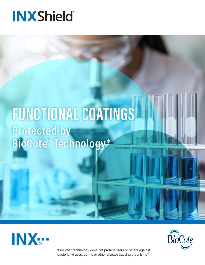# **INXShield**

# FUNCTIONAL COATINGS **Protected by BioCote® Technology\***





\*BioCote® technology does not protect users or others against bacteria, viruses, germs or other disease causing organisms\*\*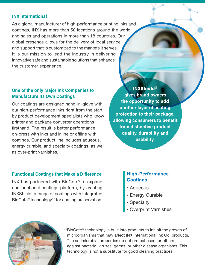### INX International

As a global manufacturer of high-performance printing inks and coatings, INX has more than 50 locations around the world and sales and operations in more than 18 countries. Our global presence allows for the delivery of local service and support that is customized to the markets it serves. It is our mission to lead the industry in delivering innovative safe and sustainable solutions that enhance the customer experience.

## One of the only Major Ink Companies to Manufacture Its Own Coatings

Our coatings are designed hand-in-glove with our high-performance inks right from the start by product development specialists who know printer and package converter operations firsthand. The result is better performance on-press with inks and inline or offline with coatings. Our product line includes aqueous, energy curable, and specialty coatings, as well as over-print varnishes.

INXShield® gives brand owners the opportunity to add another layer of coating protection to their package, allowing consumers to benefit from distinctive product quality, durability and usability.

## Functional Coatings that Make a Difference

INX has partnered with BioCote® to expand our functional coatings platform, by creating INXShield, a range of coatings with integrated BioCote® technology\*\* for coating preservation.

# High-Performance **Coatings**

- **Aqueous**
- **Energy Curable**
- **Specialty**
- Overprint Varnishes



\*\*BioCote<sup>®</sup> technology is built into products to inhibit the growth of microorganisms that may affect INX International Ink Co. products. The antimicrobial properties do not protect users or others against bacteria, viruses, germs, or other disease organisms. This technology is not a substitute for good cleaning practices.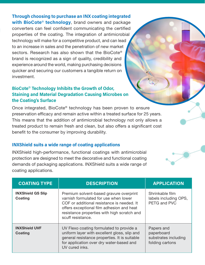## Through choosing to purchase an INX coating integrated

with BioCote<sup>®</sup> technology, brand owners and package converters can feel confident communicating the certified properties of the coating. The integration of antimicrobial technology will make for a competitive product, and can lead to an increase in sales and the penetration of new market sectors. Research has also shown that the BioCote® brand is recognized as a sign of quality, credibility and experience around the world, making purchasing decisions quicker and securing our customers a tangible return on investment.

## BioCote® Technology Inhibits the Growth of Odor, Staining and Material Degradation Causing Microbes on the Coating's Surface

Once integrated, BioCote® technology has been proven to ensure preservation efficacy and remain active within a treated surface for 25 years. This means that the addition of antimicrobial technology not only allows a treated product to remain fresh and clean, but also offers a significant cost benefit to the consumer by improving durability.

#### INXShield suits a wide range of coating applications

INXShield high-performance, functional coatings with antimicrobial protection are designed to meet the decorative and functional coating demands of packaging applications. INXShield suits a wide range of coating applications.

| <b>COATING TYPE</b>                        | <b>DESCRIPTION</b>                                                                                                                                                                                                                              | <b>APPLICATION</b>                                                  |
|--------------------------------------------|-------------------------------------------------------------------------------------------------------------------------------------------------------------------------------------------------------------------------------------------------|---------------------------------------------------------------------|
| <b>INXShield GS Slip</b><br><b>Coating</b> | Premium solvent-based gravure overprint<br>varnish formulated for use when lower<br>COF or additional resistance is needed. It<br>offers exceptional film adhesion and heat<br>resistance properties with high scratch and<br>scuff resistance. | Shrinkable film<br>labels including OPS,<br>PETG and PVC            |
| <b>INXShield UVF</b><br><b>Coating</b>     | UV Flexo coating formulated to provide a<br>uniform layer with excellent gloss, slip and<br>general resistance properties. It is suitable<br>for application over dry water-based and<br>UV cured inks.                                         | Papers and<br>paperboard<br>substrates including<br>folding cartons |